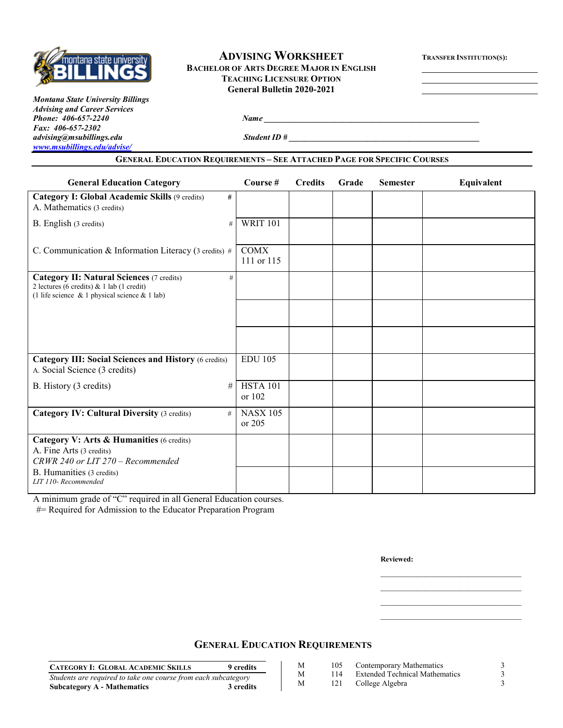

#### **ADVISING WORKSHEET TRANSFER INSTITUTION(S): BACHELOR OF ARTS DEGREE MAJOR IN ENGLISH TEACHING LICENSURE OPTION General Bulletin 2020-2021**

*Montana State University Billings Advising and Career Services Phone: 406-657-2240 Name Name Name Name Name Name Name Name Name Name Name Name Name Name Name Name Name Name Name Name Name Name Name Name Name Name Name Name Nam Fax: 406-657-2302 [www.msubillings.edu/advise/](http://www.msubillings.edu/advise/)*

*Student ID #*  $\overline{a}$ 

#### **GENERAL EDUCATION REQUIREMENTS – SEE ATTACHED PAGE FOR SPECIFIC COURSES**

| <b>General Education Category</b>                                                                                                                         | Course $#$                | <b>Credits</b> | Grade | <b>Semester</b> | Equivalent |
|-----------------------------------------------------------------------------------------------------------------------------------------------------------|---------------------------|----------------|-------|-----------------|------------|
| Category I: Global Academic Skills (9 credits)<br>#<br>A. Mathematics (3 credits)                                                                         |                           |                |       |                 |            |
| B. English (3 credits)<br>#                                                                                                                               | <b>WRIT 101</b>           |                |       |                 |            |
| C. Communication & Information Literacy (3 credits) #                                                                                                     | <b>COMX</b><br>111 or 115 |                |       |                 |            |
| <b>Category II: Natural Sciences (7 credits)</b><br>#<br>2 lectures (6 credits) & 1 lab (1 credit)<br>(1 life science $\&$ 1 physical science $\&$ 1 lab) |                           |                |       |                 |            |
|                                                                                                                                                           |                           |                |       |                 |            |
|                                                                                                                                                           |                           |                |       |                 |            |
| <b>Category III: Social Sciences and History (6 credits)</b><br>A. Social Science (3 credits)                                                             | <b>EDU 105</b>            |                |       |                 |            |
| B. History (3 credits)<br>#                                                                                                                               | <b>HSTA 101</b><br>or 102 |                |       |                 |            |
| <b>Category IV: Cultural Diversity (3 credits)</b><br>#                                                                                                   | <b>NASX 105</b><br>or 205 |                |       |                 |            |
| Category V: Arts & Humanities (6 credits)<br>A. Fine Arts (3 credits)<br>CRWR 240 or LIT 270 - Recommended                                                |                           |                |       |                 |            |
| B. Humanities (3 credits)<br>LIT 110-Recommended                                                                                                          |                           |                |       |                 |            |

A minimum grade of "C" required in all General Education courses.

#= Required for Admission to the Educator Preparation Program

**Reviewed:**

# **GENERAL EDUCATION REQUIREMENTS**

| <b>CATEGORY I: GLOBAL ACADEMIC SKILLS</b>                      | 9 credits |
|----------------------------------------------------------------|-----------|
| Students are required to take one course from each subcategory |           |
| <b>Subcategory A - Mathematics</b>                             | 3 credits |

M 105 Contemporary Mathematics 3<br>M 114 Extended Technical Mathematics 3 M 114 Extended Technical Mathematics

\_\_\_\_\_\_\_\_\_\_\_\_\_\_\_\_\_\_\_\_\_\_\_\_\_\_\_\_\_\_\_\_\_\_ \_\_\_\_\_\_\_\_\_\_\_\_\_\_\_\_\_\_\_\_\_\_\_\_\_\_\_\_\_\_\_\_\_\_

- M 121 College Algebra 3
	-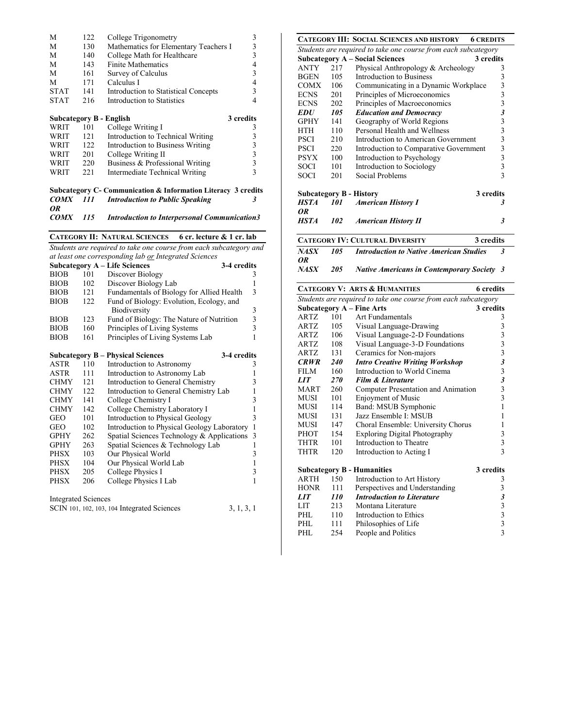| M           | 122 | College Trigonometry                  | 3         |
|-------------|-----|---------------------------------------|-----------|
| M           | 130 | Mathematics for Elementary Teachers I |           |
| M           | 140 | College Math for Healthcare           | 3         |
| M           | 143 | <b>Finite Mathematics</b>             | 4         |
| M           | 161 | Survey of Calculus                    | 3         |
| M           | 171 | Calculus I                            |           |
| <b>STAT</b> | 141 | Introduction to Statistical Concepts  | 3         |
| <b>STAT</b> | 216 | Introduction to Statistics            |           |
|             |     |                                       |           |
|             |     |                                       |           |
|             |     | <b>Subcategory B - English</b>        | 3 credits |
| WRIT        | 101 | College Writing I                     | 3         |
| WRIT        | 121 | Introduction to Technical Writing     |           |
| WRIT        | 122 | Introduction to Business Writing      | 3         |
| WRIT        | 201 | College Writing II                    | 3         |
| WRIT        | 220 | Business & Professional Writing       | 3         |

#### **Subcategory C- Communication & Information Literacy 3 credits** *COMX 111 Introduction to Public Speaking 3*

*OR COMX 115 Introduction to Interpersonal Communication3*

**CATEGORY II: NATURAL SCIENCES 6 cr. lecture & 1 cr. lab**

*Students are required to take one course from each subcategory and* 

| <b>Subcategory A - Life Sciences</b><br>3-4 credits<br>101<br>Discover Biology<br><b>BIOB</b><br>3<br>$\mathbf{1}$<br><b>BIOB</b><br>102<br>Discover Biology Lab<br>3<br>Fundamentals of Biology for Allied Health<br><b>BIOB</b><br>121<br>Fund of Biology: Evolution, Ecology, and<br><b>BIOB</b><br>122<br>$\begin{array}{c} 3 \\ 3 \\ 3 \end{array}$<br>Biodiversity<br>Fund of Biology: The Nature of Nutrition<br><b>BIOB</b><br>123<br>Principles of Living Systems<br><b>BIOB</b><br>160<br>$\mathbf{1}$<br>Principles of Living Systems Lab<br><b>BIOB</b><br>161<br>3-4 credits<br><b>Subcategory B – Physical Sciences</b><br><b>ASTR</b><br>110<br>Introduction to Astronomy<br>3 |
|-----------------------------------------------------------------------------------------------------------------------------------------------------------------------------------------------------------------------------------------------------------------------------------------------------------------------------------------------------------------------------------------------------------------------------------------------------------------------------------------------------------------------------------------------------------------------------------------------------------------------------------------------------------------------------------------------|
|                                                                                                                                                                                                                                                                                                                                                                                                                                                                                                                                                                                                                                                                                               |
|                                                                                                                                                                                                                                                                                                                                                                                                                                                                                                                                                                                                                                                                                               |
|                                                                                                                                                                                                                                                                                                                                                                                                                                                                                                                                                                                                                                                                                               |
|                                                                                                                                                                                                                                                                                                                                                                                                                                                                                                                                                                                                                                                                                               |
|                                                                                                                                                                                                                                                                                                                                                                                                                                                                                                                                                                                                                                                                                               |
|                                                                                                                                                                                                                                                                                                                                                                                                                                                                                                                                                                                                                                                                                               |
|                                                                                                                                                                                                                                                                                                                                                                                                                                                                                                                                                                                                                                                                                               |
|                                                                                                                                                                                                                                                                                                                                                                                                                                                                                                                                                                                                                                                                                               |
|                                                                                                                                                                                                                                                                                                                                                                                                                                                                                                                                                                                                                                                                                               |
|                                                                                                                                                                                                                                                                                                                                                                                                                                                                                                                                                                                                                                                                                               |
|                                                                                                                                                                                                                                                                                                                                                                                                                                                                                                                                                                                                                                                                                               |
|                                                                                                                                                                                                                                                                                                                                                                                                                                                                                                                                                                                                                                                                                               |
| $\mathbf{1}$<br>ASTR<br>111<br>Introduction to Astronomy Lab                                                                                                                                                                                                                                                                                                                                                                                                                                                                                                                                                                                                                                  |
| 3<br><b>CHMY</b><br>121<br>Introduction to General Chemistry                                                                                                                                                                                                                                                                                                                                                                                                                                                                                                                                                                                                                                  |
| $\mathbf{1}$<br><b>CHMY</b><br>122<br>Introduction to General Chemistry Lab                                                                                                                                                                                                                                                                                                                                                                                                                                                                                                                                                                                                                   |
| 3<br>141<br><b>CHMY</b><br>College Chemistry I                                                                                                                                                                                                                                                                                                                                                                                                                                                                                                                                                                                                                                                |
| $\mathbf{1}$<br><b>CHMY</b><br>College Chemistry Laboratory I<br>142                                                                                                                                                                                                                                                                                                                                                                                                                                                                                                                                                                                                                          |
| 3<br><b>Introduction to Physical Geology</b><br>GEO<br>101                                                                                                                                                                                                                                                                                                                                                                                                                                                                                                                                                                                                                                    |
| $\mathbf{1}$<br>102<br>Introduction to Physical Geology Laboratory<br>GEO                                                                                                                                                                                                                                                                                                                                                                                                                                                                                                                                                                                                                     |
| 3<br>Spatial Sciences Technology & Applications<br><b>GPHY</b><br>262                                                                                                                                                                                                                                                                                                                                                                                                                                                                                                                                                                                                                         |
| $\mathbf{1}$<br>263<br>Spatial Sciences & Technology Lab<br><b>GPHY</b>                                                                                                                                                                                                                                                                                                                                                                                                                                                                                                                                                                                                                       |
| 3<br>Our Physical World<br><b>PHSX</b><br>103                                                                                                                                                                                                                                                                                                                                                                                                                                                                                                                                                                                                                                                 |
| $\mathbf 1$<br>104<br>Our Physical World Lab<br>PHSX                                                                                                                                                                                                                                                                                                                                                                                                                                                                                                                                                                                                                                          |
| 3<br>College Physics I<br><b>PHSX</b><br>205                                                                                                                                                                                                                                                                                                                                                                                                                                                                                                                                                                                                                                                  |
| $\mathbf{1}$<br>College Physics I Lab<br><b>PHSX</b><br>206                                                                                                                                                                                                                                                                                                                                                                                                                                                                                                                                                                                                                                   |
|                                                                                                                                                                                                                                                                                                                                                                                                                                                                                                                                                                                                                                                                                               |
| <b>Integrated Sciences</b>                                                                                                                                                                                                                                                                                                                                                                                                                                                                                                                                                                                                                                                                    |
| SCIN 101, 102, 103, 104 Integrated Sciences<br>3, 1, 3, 1                                                                                                                                                                                                                                                                                                                                                                                                                                                                                                                                                                                                                                     |

|                                |            | <b>CATEGORY III: SOCIAL SCIENCES AND HISTORY</b><br><b>6 CREDITS</b> |                                                 |
|--------------------------------|------------|----------------------------------------------------------------------|-------------------------------------------------|
|                                |            | Students are required to take one course from each subcategory       |                                                 |
|                                |            | <b>Subcategory A - Social Sciences</b>                               | 3 credits                                       |
| <b>ANTY</b>                    | 217        | Physical Anthropology & Archeology                                   | 3                                               |
| <b>BGEN</b>                    | 105        | <b>Introduction to Business</b>                                      | 3                                               |
| <b>COMX</b>                    | 106        | Communicating in a Dynamic Workplace                                 | 3                                               |
| <b>ECNS</b>                    | 201        | Principles of Microeconomics                                         | 3                                               |
| <b>ECNS</b>                    | 202        | Principles of Macroeconomics                                         | $\overline{\mathbf{3}}$                         |
| <b>EDU</b>                     | 105        | <b>Education and Democracy</b>                                       | 3                                               |
| <b>GPHY</b>                    | 141        | Geography of World Regions                                           | 3                                               |
| HTH                            | 110        | Personal Health and Wellness                                         | 3                                               |
| <b>PSCI</b>                    | 210        | Introduction to American Government                                  | 3                                               |
| <b>PSCI</b>                    | 220        | Introduction to Comparative Government                               | 3                                               |
| <b>PSYX</b>                    | 100        | Introduction to Psychology                                           | 3                                               |
| <b>SOCI</b>                    | 101        | Introduction to Sociology                                            | 3                                               |
| SOCI                           | 201        | Social Problems                                                      | $\overline{\mathbf{3}}$                         |
|                                |            |                                                                      |                                                 |
| <b>Subcategory B - History</b> |            |                                                                      | 3 credits                                       |
| HSTA                           | 101        | <b>American History I</b>                                            | 3                                               |
| 0R                             |            |                                                                      |                                                 |
| HSTA                           | 102        | <b>American History II</b>                                           | 3                                               |
|                                |            |                                                                      |                                                 |
|                                |            | <b>CATEGORY IV: CULTURAL DIVERSITY</b>                               | 3 credits                                       |
| <b>NASX</b>                    | 105        | <b>Introduction to Native American Studies</b>                       | 3                                               |
| 0R                             |            |                                                                      |                                                 |
| <b>NASX</b>                    | 205        | <b>Native Americans in Contemporary Society 3</b>                    |                                                 |
|                                |            |                                                                      |                                                 |
|                                |            | <b>CATEGORY V: ARTS &amp; HUMANITIES</b>                             | <b>6</b> credits                                |
|                                |            | Students are required to take one course from each subcategory       |                                                 |
|                                |            | <b>Subcategory A - Fine Arts</b>                                     | 3 credits                                       |
| ARTZ                           | 101        | <b>Art Fundamentals</b>                                              | 3                                               |
| ARTZ                           | 105        | Visual Language-Drawing                                              | 3                                               |
| ARTZ                           |            | Visual Language-2-D Foundations                                      |                                                 |
| ARTZ                           | 106        |                                                                      | 3                                               |
|                                | 108        | Visual Language-3-D Foundations                                      | 3                                               |
| ARTZ                           | 131        | Ceramics for Non-majors                                              | 3                                               |
| <b>CRWR</b>                    | <i>240</i> | <b>Intro Creative Writing Workshop</b>                               | 3                                               |
| <b>FILM</b>                    | 160        | Introduction to World Cinema                                         | 3                                               |
| <i><b>LIT</b></i>              | <i>270</i> | <b>Film &amp; Literature</b>                                         | $\boldsymbol{\mathfrak{z}}$                     |
| MART                           | 260        | Computer Presentation and Animation                                  | 3                                               |
| <b>MUSI</b>                    | 101        | Enjoyment of Music                                                   | 3                                               |
| MUSI                           | 114        | Band: MSUB Symphonic                                                 | 1                                               |
| MUSI                           | 131        | Jazz Ensemble I: MSUB                                                | 1                                               |
| MUSI                           | 147        | Choral Ensemble: University Chorus                                   | 1                                               |
| PHOT                           | 154        | <b>Exploring Digital Photography</b>                                 | 3                                               |
| <b>THTR</b>                    | 101        | Introduction to Theatre                                              | 3                                               |
| THTR                           | 120        | Introduction to Acting I                                             | 3                                               |
|                                |            |                                                                      |                                                 |
|                                |            | <b>Subcategory B - Humanities</b>                                    | 3 credits                                       |
| ARTH                           | 150        | Introduction to Art History                                          | 3                                               |
| <b>HONR</b>                    | 111        | Perspectives and Understanding                                       |                                                 |
| LIT                            | 110        | <b>Introduction to Literature</b>                                    | $\overline{\mathbf{3}}$                         |
| LIT                            | 213        | Montana Literature                                                   |                                                 |
| PHL                            | 110        | Introduction to Ethics                                               |                                                 |
| PHL<br>PHL                     | 111<br>254 | Philosophies of Life<br>People and Politics                          | $\begin{array}{c} 3 \\ 3 \\ 3 \\ 3 \end{array}$ |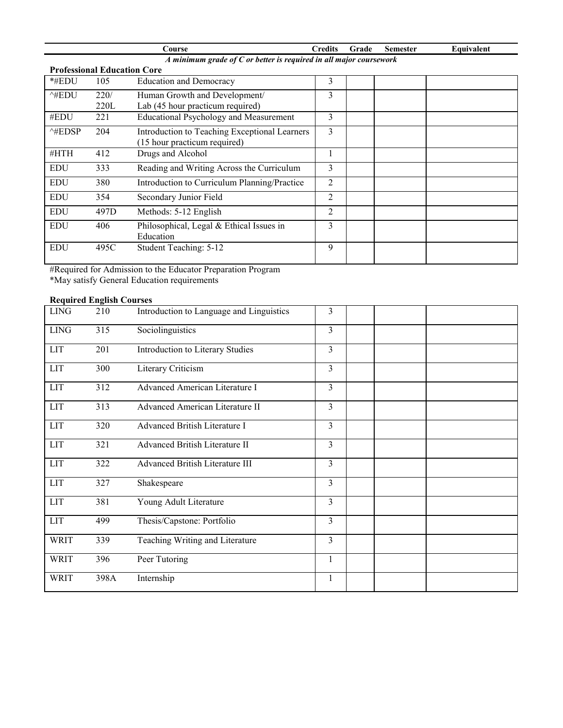|                                                                      |                                    | Course                                                | <b>Credits</b> | Grade | <b>Semester</b> | Equivalent |
|----------------------------------------------------------------------|------------------------------------|-------------------------------------------------------|----------------|-------|-----------------|------------|
| A minimum grade of $C$ or better is required in all major coursework |                                    |                                                       |                |       |                 |            |
|                                                                      | <b>Professional Education Core</b> |                                                       |                |       |                 |            |
| *#EDU                                                                | 105                                | <b>Education and Democracy</b>                        | 3              |       |                 |            |
| $^{\wedge}$ #EDU                                                     | 220/                               | Human Growth and Development/                         | 3              |       |                 |            |
|                                                                      | 220L                               | Lab (45 hour practicum required)                      |                |       |                 |            |
| #EDU                                                                 | 221                                | <b>Educational Psychology and Measurement</b>         | 3              |       |                 |            |
| $^{\wedge\text{\#EDSP}}$                                             | 204                                | Introduction to Teaching Exceptional Learners         | 3              |       |                 |            |
|                                                                      |                                    | (15 hour practicum required)                          |                |       |                 |            |
| #HTH                                                                 | 412                                | Drugs and Alcohol                                     |                |       |                 |            |
| <b>EDU</b>                                                           | 333                                | Reading and Writing Across the Curriculum             | 3              |       |                 |            |
| <b>EDU</b>                                                           | 380                                | Introduction to Curriculum Planning/Practice          | $\overline{2}$ |       |                 |            |
| <b>EDU</b>                                                           | 354                                | Secondary Junior Field                                | $\mathfrak{D}$ |       |                 |            |
| <b>EDU</b>                                                           | 497D                               | Methods: 5-12 English                                 | 2              |       |                 |            |
| <b>EDU</b>                                                           | 406                                | Philosophical, Legal & Ethical Issues in<br>Education | 3              |       |                 |            |
| <b>EDU</b>                                                           | 495C                               | Student Teaching: 5-12                                | 9              |       |                 |            |

#Required for Admission to the Educator Preparation Program \*May satisfy General Education requirements

## **Required English Courses**

| LING        | 210  | Introduction to Language and Linguistics | 3              |  |
|-------------|------|------------------------------------------|----------------|--|
| <b>LING</b> | 315  | Sociolinguistics                         | 3              |  |
| <b>LIT</b>  | 201  | Introduction to Literary Studies         | 3              |  |
| <b>LIT</b>  | 300  | Literary Criticism                       | $\overline{3}$ |  |
| LIT         | 312  | Advanced American Literature I           | 3              |  |
| <b>LIT</b>  | 313  | <b>Advanced American Literature II</b>   | $\overline{3}$ |  |
| <b>LIT</b>  | 320  | Advanced British Literature I            | $\overline{3}$ |  |
| <b>LIT</b>  | 321  | Advanced British Literature II           | $\overline{3}$ |  |
| <b>LIT</b>  | 322  | <b>Advanced British Literature III</b>   | $\overline{3}$ |  |
| <b>LIT</b>  | 327  | Shakespeare                              | $\overline{3}$ |  |
| <b>LIT</b>  | 381  | Young Adult Literature                   | $\overline{3}$ |  |
| <b>LIT</b>  | 499  | Thesis/Capstone: Portfolio               | $\overline{3}$ |  |
| <b>WRIT</b> | 339  | Teaching Writing and Literature          | $\overline{3}$ |  |
| <b>WRIT</b> | 396  | Peer Tutoring                            | 1              |  |
| <b>WRIT</b> | 398A | Internship                               | $\mathbf{1}$   |  |